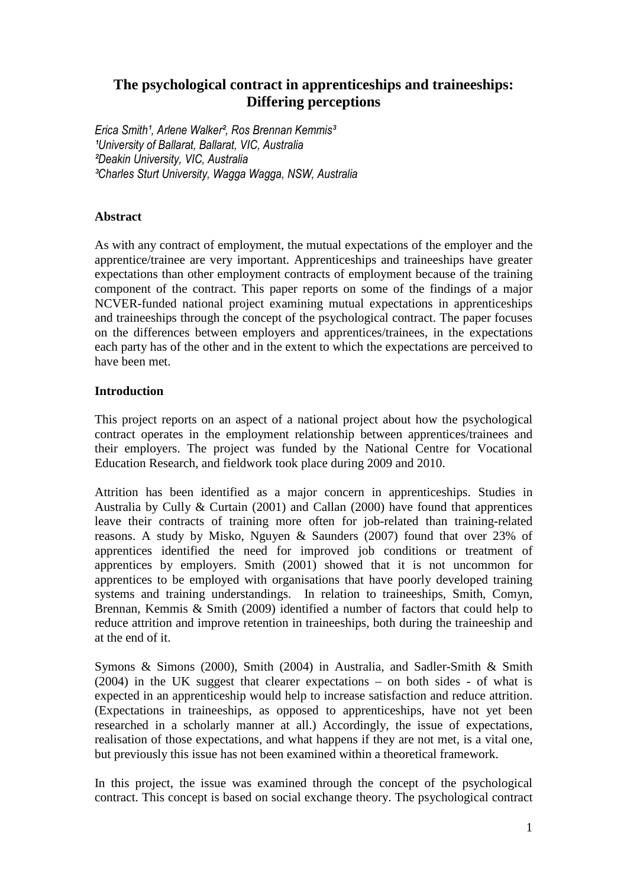# **The psychological contract in apprenticeships and traineeships: Differing perceptions**

Erica Smith<sup>1</sup>, Arlene Walker<sup>2</sup>, Ros Brennan Kemmis<sup>3</sup> <sup>1</sup>University of Ballarat, Ballarat, VIC, Australia ²Deakin University, VIC, Australia ³Charles Sturt University, Wagga Wagga, NSW, Australia

# **Abstract**

As with any contract of employment, the mutual expectations of the employer and the apprentice/trainee are very important. Apprenticeships and traineeships have greater expectations than other employment contracts of employment because of the training component of the contract. This paper reports on some of the findings of a major NCVER-funded national project examining mutual expectations in apprenticeships and traineeships through the concept of the psychological contract. The paper focuses on the differences between employers and apprentices/trainees, in the expectations each party has of the other and in the extent to which the expectations are perceived to have been met.

# **Introduction**

This project reports on an aspect of a national project about how the psychological contract operates in the employment relationship between apprentices/trainees and their employers. The project was funded by the National Centre for Vocational Education Research, and fieldwork took place during 2009 and 2010.

Attrition has been identified as a major concern in apprenticeships. Studies in Australia by Cully & Curtain (2001) and Callan (2000) have found that apprentices leave their contracts of training more often for job-related than training-related reasons. A study by Misko, Nguyen & Saunders (2007) found that over 23% of apprentices identified the need for improved job conditions or treatment of apprentices by employers. Smith (2001) showed that it is not uncommon for apprentices to be employed with organisations that have poorly developed training systems and training understandings. In relation to traineeships, Smith, Comyn, Brennan, Kemmis & Smith (2009) identified a number of factors that could help to reduce attrition and improve retention in traineeships, both during the traineeship and at the end of it.

Symons & Simons (2000), Smith (2004) in Australia, and Sadler-Smith & Smith (2004) in the UK suggest that clearer expectations – on both sides - of what is expected in an apprenticeship would help to increase satisfaction and reduce attrition. (Expectations in traineeships, as opposed to apprenticeships, have not yet been researched in a scholarly manner at all.) Accordingly, the issue of expectations, realisation of those expectations, and what happens if they are not met, is a vital one, but previously this issue has not been examined within a theoretical framework.

In this project, the issue was examined through the concept of the psychological contract. This concept is based on social exchange theory. The psychological contract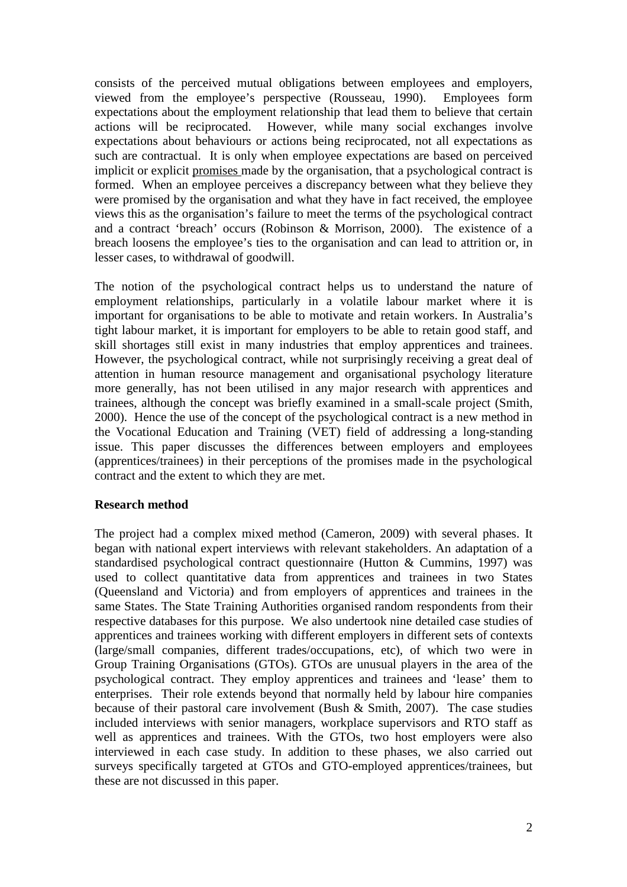consists of the perceived mutual obligations between employees and employers, viewed from the employee's perspective (Rousseau, 1990). Employees form expectations about the employment relationship that lead them to believe that certain actions will be reciprocated. However, while many social exchanges involve expectations about behaviours or actions being reciprocated, not all expectations as such are contractual. It is only when employee expectations are based on perceived implicit or explicit promises made by the organisation, that a psychological contract is formed. When an employee perceives a discrepancy between what they believe they were promised by the organisation and what they have in fact received, the employee views this as the organisation's failure to meet the terms of the psychological contract and a contract 'breach' occurs (Robinson & Morrison, 2000). The existence of a breach loosens the employee's ties to the organisation and can lead to attrition or, in lesser cases, to withdrawal of goodwill.

The notion of the psychological contract helps us to understand the nature of employment relationships, particularly in a volatile labour market where it is important for organisations to be able to motivate and retain workers. In Australia's tight labour market, it is important for employers to be able to retain good staff, and skill shortages still exist in many industries that employ apprentices and trainees. However, the psychological contract, while not surprisingly receiving a great deal of attention in human resource management and organisational psychology literature more generally, has not been utilised in any major research with apprentices and trainees, although the concept was briefly examined in a small-scale project (Smith, 2000). Hence the use of the concept of the psychological contract is a new method in the Vocational Education and Training (VET) field of addressing a long-standing issue. This paper discusses the differences between employers and employees (apprentices/trainees) in their perceptions of the promises made in the psychological contract and the extent to which they are met.

### **Research method**

The project had a complex mixed method (Cameron, 2009) with several phases. It began with national expert interviews with relevant stakeholders. An adaptation of a standardised psychological contract questionnaire (Hutton & Cummins, 1997) was used to collect quantitative data from apprentices and trainees in two States (Queensland and Victoria) and from employers of apprentices and trainees in the same States. The State Training Authorities organised random respondents from their respective databases for this purpose. We also undertook nine detailed case studies of apprentices and trainees working with different employers in different sets of contexts (large/small companies, different trades/occupations, etc), of which two were in Group Training Organisations (GTOs). GTOs are unusual players in the area of the psychological contract. They employ apprentices and trainees and 'lease' them to enterprises. Their role extends beyond that normally held by labour hire companies because of their pastoral care involvement (Bush & Smith, 2007). The case studies included interviews with senior managers, workplace supervisors and RTO staff as well as apprentices and trainees. With the GTOs, two host employers were also interviewed in each case study. In addition to these phases, we also carried out surveys specifically targeted at GTOs and GTO-employed apprentices/trainees, but these are not discussed in this paper.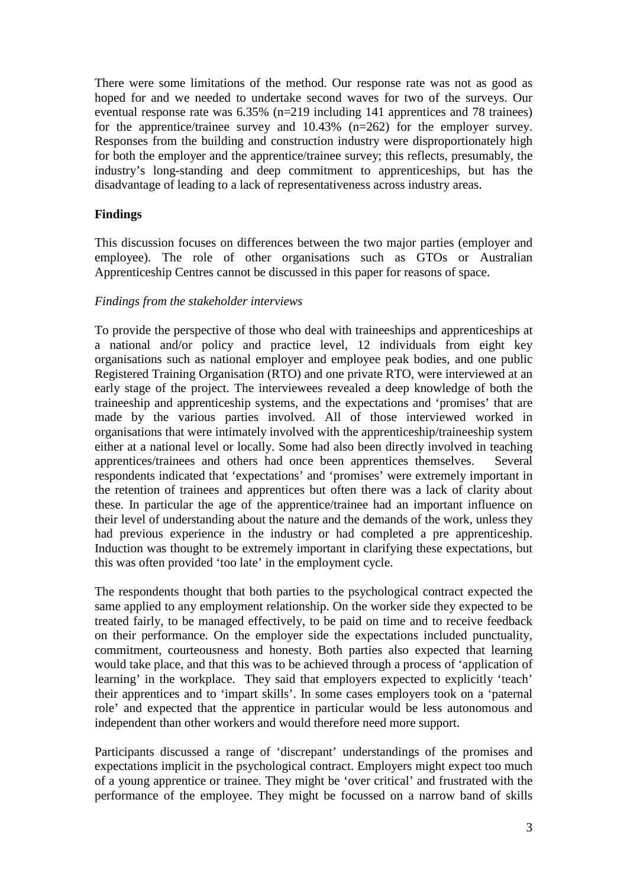There were some limitations of the method. Our response rate was not as good as hoped for and we needed to undertake second waves for two of the surveys. Our eventual response rate was 6.35% (n=219 including 141 apprentices and 78 trainees) for the apprentice/trainee survey and 10.43% (n=262) for the employer survey. Responses from the building and construction industry were disproportionately high for both the employer and the apprentice/trainee survey; this reflects, presumably, the industry's long-standing and deep commitment to apprenticeships, but has the disadvantage of leading to a lack of representativeness across industry areas.

## **Findings**

This discussion focuses on differences between the two major parties (employer and employee). The role of other organisations such as GTOs or Australian Apprenticeship Centres cannot be discussed in this paper for reasons of space.

### *Findings from the stakeholder interviews*

To provide the perspective of those who deal with traineeships and apprenticeships at a national and/or policy and practice level, 12 individuals from eight key organisations such as national employer and employee peak bodies, and one public Registered Training Organisation (RTO) and one private RTO, were interviewed at an early stage of the project. The interviewees revealed a deep knowledge of both the traineeship and apprenticeship systems, and the expectations and 'promises' that are made by the various parties involved. All of those interviewed worked in organisations that were intimately involved with the apprenticeship/traineeship system either at a national level or locally. Some had also been directly involved in teaching apprentices/trainees and others had once been apprentices themselves. Several respondents indicated that 'expectations' and 'promises' were extremely important in the retention of trainees and apprentices but often there was a lack of clarity about these. In particular the age of the apprentice/trainee had an important influence on their level of understanding about the nature and the demands of the work, unless they had previous experience in the industry or had completed a pre apprenticeship. Induction was thought to be extremely important in clarifying these expectations, but this was often provided 'too late' in the employment cycle.

The respondents thought that both parties to the psychological contract expected the same applied to any employment relationship. On the worker side they expected to be treated fairly, to be managed effectively, to be paid on time and to receive feedback on their performance. On the employer side the expectations included punctuality, commitment, courteousness and honesty. Both parties also expected that learning would take place, and that this was to be achieved through a process of 'application of learning' in the workplace. They said that employers expected to explicitly 'teach' their apprentices and to 'impart skills'. In some cases employers took on a 'paternal role' and expected that the apprentice in particular would be less autonomous and independent than other workers and would therefore need more support.

Participants discussed a range of 'discrepant' understandings of the promises and expectations implicit in the psychological contract. Employers might expect too much of a young apprentice or trainee. They might be 'over critical' and frustrated with the performance of the employee. They might be focussed on a narrow band of skills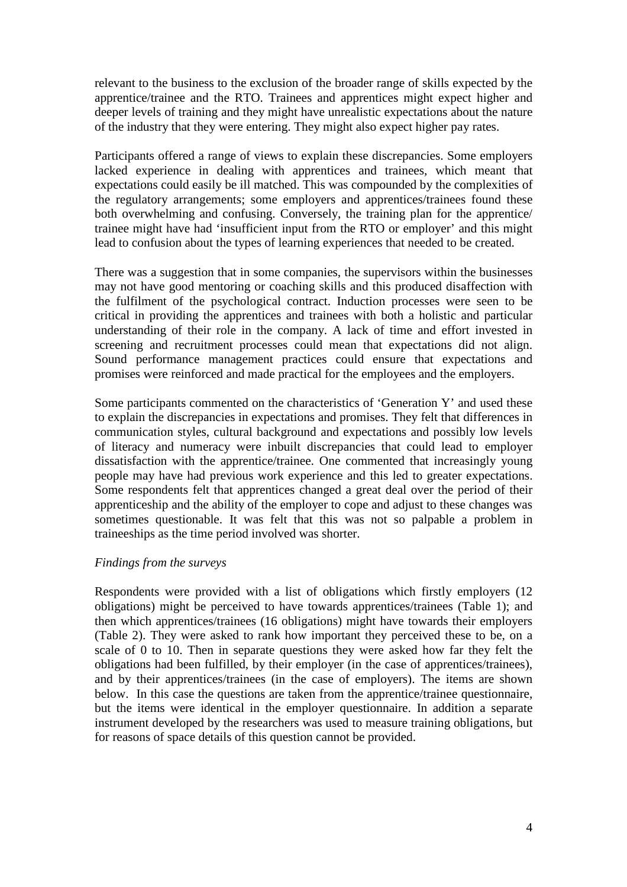relevant to the business to the exclusion of the broader range of skills expected by the apprentice/trainee and the RTO. Trainees and apprentices might expect higher and deeper levels of training and they might have unrealistic expectations about the nature of the industry that they were entering. They might also expect higher pay rates.

Participants offered a range of views to explain these discrepancies. Some employers lacked experience in dealing with apprentices and trainees, which meant that expectations could easily be ill matched. This was compounded by the complexities of the regulatory arrangements; some employers and apprentices/trainees found these both overwhelming and confusing. Conversely, the training plan for the apprentice/ trainee might have had 'insufficient input from the RTO or employer' and this might lead to confusion about the types of learning experiences that needed to be created.

There was a suggestion that in some companies, the supervisors within the businesses may not have good mentoring or coaching skills and this produced disaffection with the fulfilment of the psychological contract. Induction processes were seen to be critical in providing the apprentices and trainees with both a holistic and particular understanding of their role in the company. A lack of time and effort invested in screening and recruitment processes could mean that expectations did not align. Sound performance management practices could ensure that expectations and promises were reinforced and made practical for the employees and the employers.

Some participants commented on the characteristics of 'Generation Y' and used these to explain the discrepancies in expectations and promises. They felt that differences in communication styles, cultural background and expectations and possibly low levels of literacy and numeracy were inbuilt discrepancies that could lead to employer dissatisfaction with the apprentice/trainee. One commented that increasingly young people may have had previous work experience and this led to greater expectations. Some respondents felt that apprentices changed a great deal over the period of their apprenticeship and the ability of the employer to cope and adjust to these changes was sometimes questionable. It was felt that this was not so palpable a problem in traineeships as the time period involved was shorter.

### *Findings from the surveys*

Respondents were provided with a list of obligations which firstly employers (12 obligations) might be perceived to have towards apprentices/trainees (Table 1); and then which apprentices/trainees (16 obligations) might have towards their employers (Table 2). They were asked to rank how important they perceived these to be, on a scale of 0 to 10. Then in separate questions they were asked how far they felt the obligations had been fulfilled, by their employer (in the case of apprentices/trainees), and by their apprentices/trainees (in the case of employers). The items are shown below. In this case the questions are taken from the apprentice/trainee questionnaire, but the items were identical in the employer questionnaire. In addition a separate instrument developed by the researchers was used to measure training obligations, but for reasons of space details of this question cannot be provided.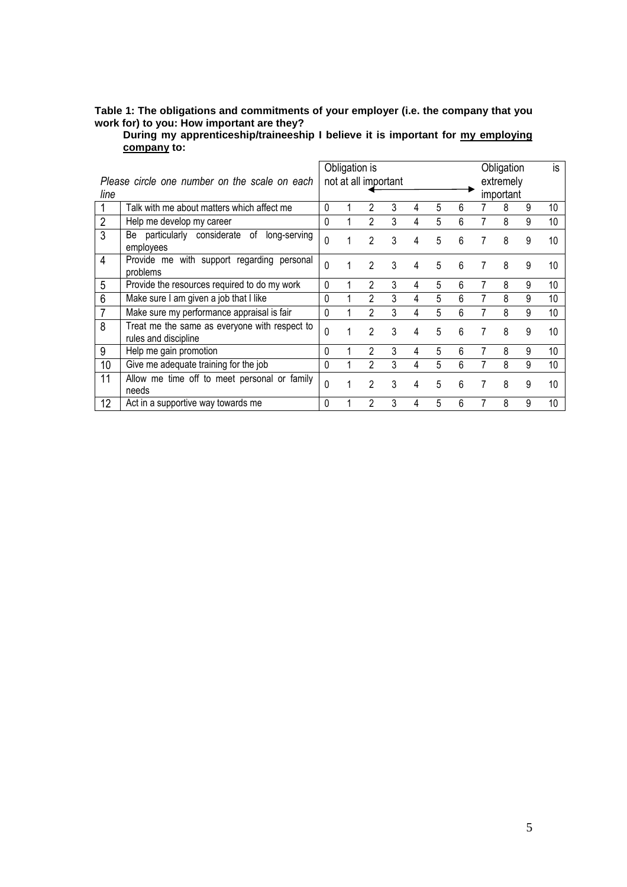#### **Table 1: The obligations and commitments of your employer (i.e. the company that you work for) to you: How important are they?**

**During my apprenticeship/traineeship I believe it is important for my employing company to:** 

|                |                                                                       |                                   |  | Obligation is  |   |   |   |   |   | Obligation |   | is |
|----------------|-----------------------------------------------------------------------|-----------------------------------|--|----------------|---|---|---|---|---|------------|---|----|
|                | Please circle one number on the scale on each                         | not at all important<br>extremely |  |                |   |   |   |   |   |            |   |    |
| line           |                                                                       |                                   |  |                |   |   |   |   |   | important  |   |    |
|                | Talk with me about matters which affect me                            | 0                                 |  | 2              | 3 | 4 | 5 | 6 |   | 8          | 9 | 10 |
| $\overline{2}$ | Help me develop my career                                             | 0                                 |  | $\mathcal{P}$  | 3 | 4 | 5 | 6 |   | 8          | 9 | 10 |
| 3              | Be particularly considerate<br>of<br>long-serving<br>employees        | 0                                 |  | 2              | 3 | 4 | 5 | 6 |   | 8          | 9 | 10 |
| 4              | Provide me with support regarding personal<br>problems                | 0                                 |  | $\mathcal{P}$  | 3 | 4 | 5 | 6 |   | 8          | 9 | 10 |
| 5              | Provide the resources required to do my work                          | 0                                 |  | 2              | 3 | 4 | 5 | 6 |   | 8          | 9 | 10 |
| 6              | Make sure I am given a job that I like                                | 0                                 |  | $\mathcal{P}$  | 3 |   | 5 | 6 |   | 8          | 9 | 10 |
|                | Make sure my performance appraisal is fair                            | 0                                 |  | 2              | 3 |   | 5 | 6 |   | 8          | 9 | 10 |
| 8              | Treat me the same as everyone with respect to<br>rules and discipline | 0                                 |  | $\mathcal{P}$  | 3 | 4 | 5 | 6 |   | 8          | 9 | 10 |
| 9              | Help me gain promotion                                                | 0                                 |  | 2              | 3 | 4 | 5 | 6 |   | 8          | 9 | 10 |
| 10             | Give me adequate training for the job                                 | 0                                 |  | 2              | 3 | 4 | 5 | 6 |   | 8          | 9 | 10 |
| 11             | Allow me time off to meet personal or family<br>needs                 | 0                                 |  | $\mathfrak{p}$ | 3 | 4 | 5 | 6 | 7 | 8          | 9 | 10 |
| 12             | Act in a supportive way towards me                                    | 0                                 |  | 2              | 3 |   | 5 | 6 |   | 8          | 9 | 10 |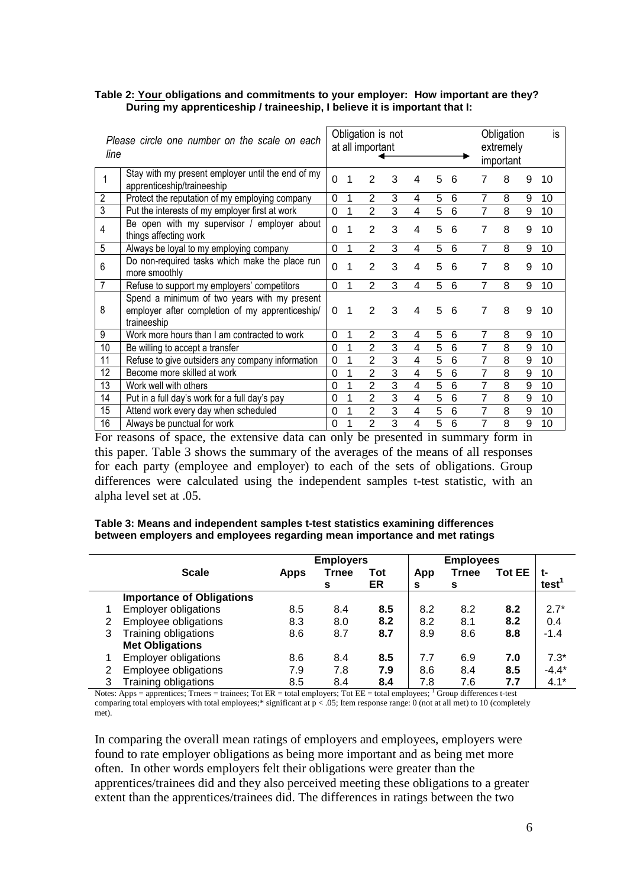### **Table 2: Your obligations and commitments to your employer: How important are they? During my apprenticeship / traineeship, I believe it is important that I:**

| Please circle one number on the scale on each<br>line |                                                                                                                | Obligation is not<br>at all important |   |                |   |   |   |   | Obligation<br>extremely<br>important |   | is |    |
|-------------------------------------------------------|----------------------------------------------------------------------------------------------------------------|---------------------------------------|---|----------------|---|---|---|---|--------------------------------------|---|----|----|
|                                                       | Stay with my present employer until the end of my<br>apprenticeship/traineeship                                | $\overline{0}$                        | 1 | 2              | 3 | 4 | 5 | 6 | 7                                    | 8 | 9  | 10 |
| 2                                                     | Protect the reputation of my employing company                                                                 | 0                                     | 1 | 2              | 3 | 4 | 5 | 6 | 7                                    | 8 | 9  | 10 |
| 3                                                     | Put the interests of my employer first at work                                                                 | $\mathbf 0$                           | 1 | $\overline{2}$ | 3 | 4 | 5 | 6 | 7                                    | 8 | 9  | 10 |
| 4                                                     | Be open with my supervisor / employer about<br>things affecting work                                           | $\overline{0}$                        | 1 | $\overline{2}$ | 3 | 4 | 5 | 6 | $\overline{7}$                       | 8 | 9  | 10 |
| 5                                                     | Always be loyal to my employing company                                                                        | 0                                     | 1 | $\overline{2}$ | 3 | 4 | 5 | 6 | 7                                    | 8 | 9  | 10 |
| 6                                                     | Do non-required tasks which make the place run<br>more smoothly                                                | $\mathbf 0$                           | 1 | 2              | 3 | 4 | 5 | 6 | 7                                    | 8 | 9  | 10 |
| 7                                                     | Refuse to support my employers' competitors                                                                    | 0                                     | 1 | $\overline{2}$ | 3 | 4 | 5 | 6 | 7                                    | 8 | 9  | 10 |
| 8                                                     | Spend a minimum of two years with my present<br>employer after completion of my apprenticeship/<br>traineeship | 0                                     | 1 | $\overline{2}$ | 3 | 4 | 5 | 6 | 7                                    | 8 | 9  | 10 |
| 9                                                     | Work more hours than I am contracted to work                                                                   | 0                                     | 1 | $\overline{2}$ | 3 | 4 | 5 | 6 | 7                                    | 8 | 9  | 10 |
| 10                                                    | Be willing to accept a transfer                                                                                | 0                                     | 1 | $\overline{2}$ | 3 | 4 | 5 | 6 | 7                                    | 8 | 9  | 10 |
| 11                                                    | Refuse to give outsiders any company information                                                               | 0                                     | 1 | $\overline{2}$ | 3 | 4 | 5 | 6 | 7                                    | 8 | 9  | 10 |
| 12                                                    | Become more skilled at work                                                                                    | 0                                     | 1 | $\overline{2}$ | 3 | 4 | 5 | 6 | 7                                    | 8 | 9  | 10 |
| 13                                                    | Work well with others                                                                                          | 0                                     | 1 | $\overline{2}$ | 3 | 4 | 5 | 6 | $\overline{7}$                       | 8 | 9  | 10 |
| 14                                                    | Put in a full day's work for a full day's pay                                                                  | 0                                     | 1 | $\overline{2}$ | 3 | 4 | 5 | 6 | 7                                    | 8 | 9  | 10 |
| 15                                                    | Attend work every day when scheduled                                                                           | 0                                     | 1 | $\overline{2}$ | 3 | 4 | 5 | 6 | $\overline{7}$                       | 8 | 9  | 10 |
| 16                                                    | Always be punctual for work                                                                                    | 0                                     |   | $\overline{2}$ | 3 | 4 | 5 | 6 | 7                                    | 8 | 9  | 10 |

For reasons of space, the extensive data can only be presented in summary form in this paper. Table 3 shows the summary of the averages of the means of all responses for each party (employee and employer) to each of the sets of obligations. Group differences were calculated using the independent samples t-test statistic, with an alpha level set at .05.

### **Table 3: Means and independent samples t-test statistics examining differences between employers and employees regarding mean importance and met ratings**

|   |                                  | <b>Employers</b> |       |     |     |              |               |                   |
|---|----------------------------------|------------------|-------|-----|-----|--------------|---------------|-------------------|
|   | <b>Scale</b>                     | <b>Apps</b>      | Trnee | Tot | App | <b>Trnee</b> | <b>Tot EE</b> | t-                |
|   |                                  |                  | s     | ER  | s   | s            |               | test <sup>'</sup> |
|   | <b>Importance of Obligations</b> |                  |       |     |     |              |               |                   |
|   | <b>Employer obligations</b>      | 8.5              | 8.4   | 8.5 | 8.2 | 8.2          | 8.2           | $2.7*$            |
| 2 | Employee obligations             | 8.3              | 8.0   | 8.2 | 8.2 | 8.1          | 8.2           | 0.4               |
| 3 | Training obligations             | 8.6              | 8.7   | 8.7 | 8.9 | 8.6          | 8.8           | $-1.4$            |
|   | <b>Met Obligations</b>           |                  |       |     |     |              |               |                   |
|   | <b>Employer obligations</b>      | 8.6              | 8.4   | 8.5 | 7.7 | 6.9          | 7.0           | $7.3*$            |
| 2 | Employee obligations             | 7.9              | 7.8   | 7.9 | 8.6 | 8.4          | 8.5           | $-4.4*$           |
| 3 | Training obligations             | 8.5              | 8.4   | 8.4 | 7.8 | 7.6          | 7.7           | $4.1*$            |

Notes: Apps = apprentices; Trnees = trainees; Tot  $ER =$  total employers; Tot  $EE =$  total employees;  $\frac{1}{1}$  Group differences t-test comparing total employers with total employees;\* significant at  $p < .05$ ; Item response range: 0 (not at all met) to 10 (completely met).

In comparing the overall mean ratings of employers and employees, employers were found to rate employer obligations as being more important and as being met more often. In other words employers felt their obligations were greater than the apprentices/trainees did and they also perceived meeting these obligations to a greater extent than the apprentices/trainees did. The differences in ratings between the two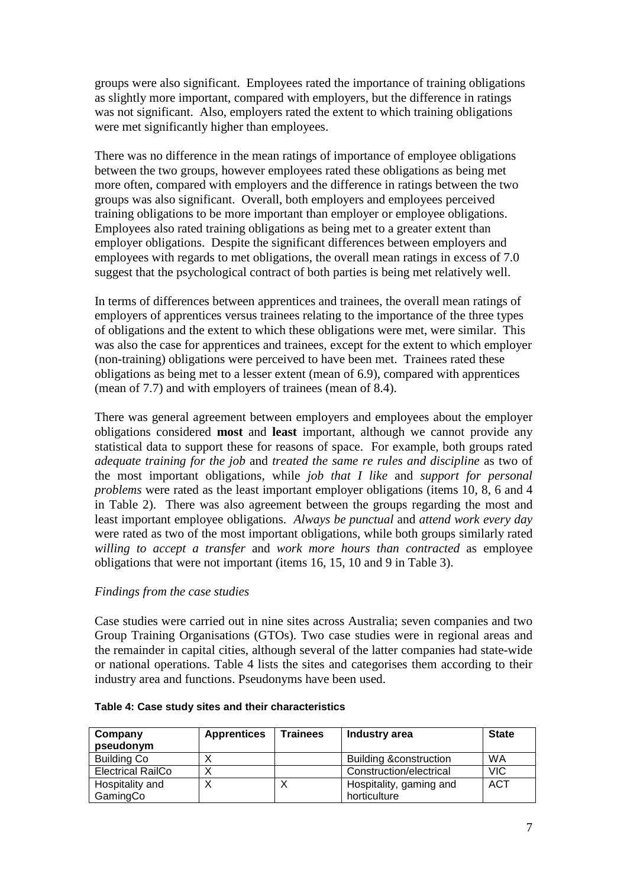groups were also significant. Employees rated the importance of training obligations as slightly more important, compared with employers, but the difference in ratings was not significant. Also, employers rated the extent to which training obligations were met significantly higher than employees.

There was no difference in the mean ratings of importance of employee obligations between the two groups, however employees rated these obligations as being met more often, compared with employers and the difference in ratings between the two groups was also significant. Overall, both employers and employees perceived training obligations to be more important than employer or employee obligations. Employees also rated training obligations as being met to a greater extent than employer obligations. Despite the significant differences between employers and employees with regards to met obligations, the overall mean ratings in excess of 7.0 suggest that the psychological contract of both parties is being met relatively well.

In terms of differences between apprentices and trainees, the overall mean ratings of employers of apprentices versus trainees relating to the importance of the three types of obligations and the extent to which these obligations were met, were similar. This was also the case for apprentices and trainees, except for the extent to which employer (non-training) obligations were perceived to have been met. Trainees rated these obligations as being met to a lesser extent (mean of 6.9), compared with apprentices (mean of 7.7) and with employers of trainees (mean of 8.4).

There was general agreement between employers and employees about the employer obligations considered **most** and **least** important, although we cannot provide any statistical data to support these for reasons of space. For example, both groups rated *adequate training for the job* and *treated the same re rules and discipline* as two of the most important obligations, while *job that I like* and *support for personal problems* were rated as the least important employer obligations (items 10, 8, 6 and 4 in Table 2). There was also agreement between the groups regarding the most and least important employee obligations. *Always be punctual* and *attend work every day* were rated as two of the most important obligations, while both groups similarly rated *willing to accept a transfer* and *work more hours than contracted* as employee obligations that were not important (items 16, 15, 10 and 9 in Table 3).

### *Findings from the case studies*

Case studies were carried out in nine sites across Australia; seven companies and two Group Training Organisations (GTOs). Two case studies were in regional areas and the remainder in capital cities, although several of the latter companies had state-wide or national operations. Table 4 lists the sites and categorises them according to their industry area and functions. Pseudonyms have been used.

| Company<br>pseudonym     | <b>Apprentices</b> | Trainees | Industry area                     | <b>State</b> |
|--------------------------|--------------------|----------|-----------------------------------|--------------|
| <b>Building Co</b>       |                    |          | <b>Building &amp;construction</b> | WA           |
| <b>Electrical RailCo</b> |                    |          | Construction/electrical           | <b>VIC</b>   |
| Hospitality and          |                    | Χ        | Hospitality, gaming and           | <b>ACT</b>   |
| GamingCo                 |                    |          | horticulture                      |              |

| Table 4: Case study sites and their characteristics |  |  |
|-----------------------------------------------------|--|--|
|-----------------------------------------------------|--|--|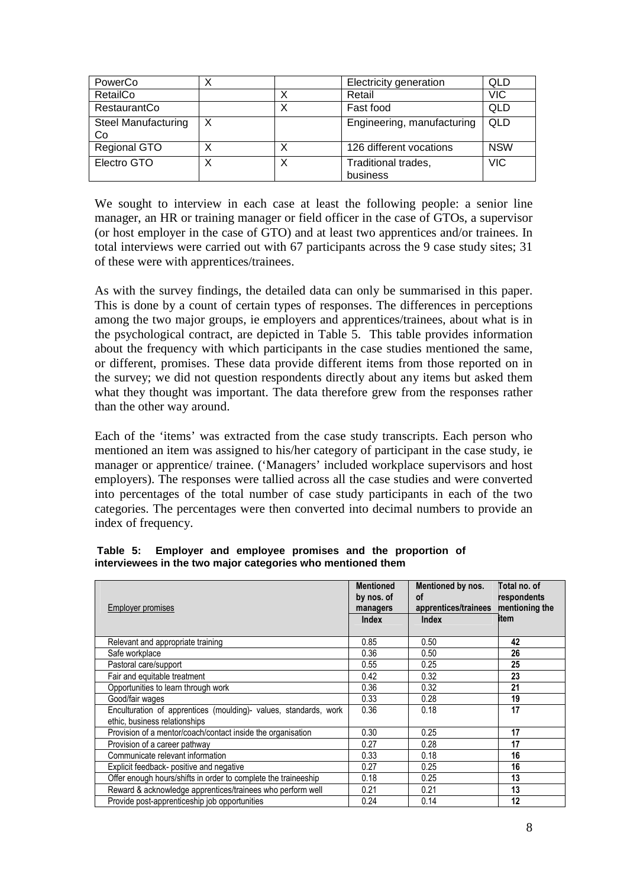| PowerCo                          |   |   | Electricity generation          | <b>QLD</b> |
|----------------------------------|---|---|---------------------------------|------------|
| RetailCo                         |   |   | Retail                          | <b>VIC</b> |
| <b>RestaurantCo</b>              |   | х | Fast food                       | <b>QLD</b> |
| <b>Steel Manufacturing</b><br>Co | X |   | Engineering, manufacturing      | <b>QLD</b> |
| Regional GTO                     |   | х | 126 different vocations         | <b>NSW</b> |
| Electro GTO                      |   | Х | Traditional trades,<br>business | <b>VIC</b> |

We sought to interview in each case at least the following people: a senior line manager, an HR or training manager or field officer in the case of GTOs, a supervisor (or host employer in the case of GTO) and at least two apprentices and/or trainees. In total interviews were carried out with 67 participants across the 9 case study sites; 31 of these were with apprentices/trainees.

As with the survey findings, the detailed data can only be summarised in this paper. This is done by a count of certain types of responses. The differences in perceptions among the two major groups, ie employers and apprentices/trainees, about what is in the psychological contract, are depicted in Table 5. This table provides information about the frequency with which participants in the case studies mentioned the same, or different, promises. These data provide different items from those reported on in the survey; we did not question respondents directly about any items but asked them what they thought was important. The data therefore grew from the responses rather than the other way around.

Each of the 'items' was extracted from the case study transcripts. Each person who mentioned an item was assigned to his/her category of participant in the case study, ie manager or apprentice/ trainee. ('Managers' included workplace supervisors and host employers). The responses were tallied across all the case studies and were converted into percentages of the total number of case study participants in each of the two categories. The percentages were then converted into decimal numbers to provide an index of frequency.

|                                                             |  |  |  |  |  |  |  | Table 5: Employer and employee promises and the proportion of |  |  |
|-------------------------------------------------------------|--|--|--|--|--|--|--|---------------------------------------------------------------|--|--|
| interviewees in the two major categories who mentioned them |  |  |  |  |  |  |  |                                                               |  |  |

| <b>Employer promises</b>                                                                          | <b>Mentioned</b><br>by nos. of<br>managers<br><b>Index</b> | Mentioned by nos.<br><b>of</b><br>apprentices/trainees<br><b>Index</b> | Total no. of<br>respondents<br>mentioning the<br>item |
|---------------------------------------------------------------------------------------------------|------------------------------------------------------------|------------------------------------------------------------------------|-------------------------------------------------------|
| Relevant and appropriate training                                                                 | 0.85                                                       | 0.50                                                                   | 42                                                    |
| Safe workplace                                                                                    | 0.36                                                       | 0.50                                                                   | 26                                                    |
| Pastoral care/support                                                                             | 0.55                                                       | 0.25                                                                   | 25                                                    |
| Fair and equitable treatment                                                                      | 0.42                                                       | 0.32                                                                   | 23                                                    |
| Opportunities to learn through work                                                               | 0.36                                                       | 0.32                                                                   | 21                                                    |
| Good/fair wages                                                                                   | 0.33                                                       | 0.28                                                                   | 19                                                    |
| Enculturation of apprentices (moulding)- values, standards, work<br>ethic, business relationships | 0.36                                                       | 0.18                                                                   | 17                                                    |
| Provision of a mentor/coach/contact inside the organisation                                       | 0.30                                                       | 0.25                                                                   | 17                                                    |
| Provision of a career pathway                                                                     | 0.27                                                       | 0.28                                                                   | 17                                                    |
| Communicate relevant information                                                                  | 0.33                                                       | 0.18                                                                   | 16                                                    |
| Explicit feedback- positive and negative                                                          | 0.27                                                       | 0.25                                                                   | 16                                                    |
| Offer enough hours/shifts in order to complete the traineeship                                    | 0.18                                                       | 0.25                                                                   | 13                                                    |
| Reward & acknowledge apprentices/trainees who perform well                                        | 0.21                                                       | 0.21                                                                   | 13                                                    |
| Provide post-apprenticeship job opportunities                                                     | 0.24                                                       | 0.14                                                                   | 12                                                    |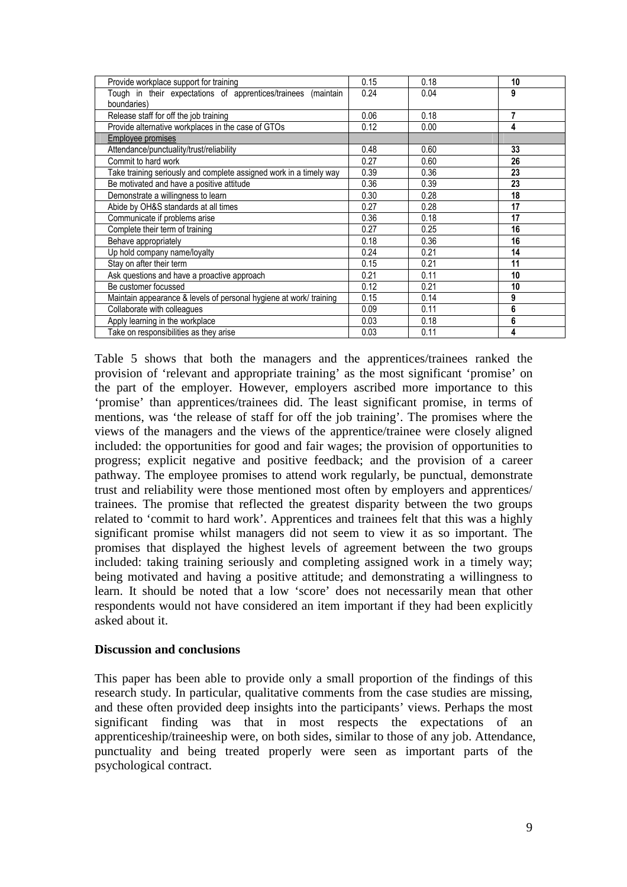| Provide workplace support for training                             | 0.15 | 0.18 | 10 |
|--------------------------------------------------------------------|------|------|----|
| Tough in their expectations of apprentices/trainees (maintain      | 0.24 | 0.04 | 9  |
| boundaries)                                                        |      |      |    |
| Release staff for off the job training                             | 0.06 | 0.18 | 7  |
| Provide alternative workplaces in the case of GTOs                 | 0.12 | 0.00 | 4  |
| Employee promises                                                  |      |      |    |
| Attendance/punctuality/trust/reliability                           | 0.48 | 0.60 | 33 |
| Commit to hard work                                                | 0.27 | 0.60 | 26 |
| Take training seriously and complete assigned work in a timely way | 0.39 | 0.36 | 23 |
| Be motivated and have a positive attitude                          | 0.36 | 0.39 | 23 |
| Demonstrate a willingness to learn                                 | 0.30 | 0.28 | 18 |
| Abide by OH&S standards at all times                               | 0.27 | 0.28 | 17 |
| Communicate if problems arise                                      | 0.36 | 0.18 | 17 |
| Complete their term of training                                    | 0.27 | 0.25 | 16 |
| Behave appropriately                                               | 0.18 | 0.36 | 16 |
| Up hold company name/loyalty                                       | 0.24 | 0.21 | 14 |
| Stay on after their term                                           | 0.15 | 0.21 | 11 |
| Ask questions and have a proactive approach                        | 0.21 | 0.11 | 10 |
| Be customer focussed                                               | 0.12 | 0.21 | 10 |
| Maintain appearance & levels of personal hygiene at work/ training | 0.15 | 0.14 | 9  |
| Collaborate with colleagues                                        | 0.09 | 0.11 | 6  |
| Apply learning in the workplace                                    | 0.03 | 0.18 | 6  |
| Take on responsibilities as they arise                             | 0.03 | 0.11 | 4  |

Table 5 shows that both the managers and the apprentices/trainees ranked the provision of 'relevant and appropriate training' as the most significant 'promise' on the part of the employer. However, employers ascribed more importance to this 'promise' than apprentices/trainees did. The least significant promise, in terms of mentions, was 'the release of staff for off the job training'. The promises where the views of the managers and the views of the apprentice/trainee were closely aligned included: the opportunities for good and fair wages; the provision of opportunities to progress; explicit negative and positive feedback; and the provision of a career pathway. The employee promises to attend work regularly, be punctual, demonstrate trust and reliability were those mentioned most often by employers and apprentices/ trainees. The promise that reflected the greatest disparity between the two groups related to 'commit to hard work'. Apprentices and trainees felt that this was a highly significant promise whilst managers did not seem to view it as so important. The promises that displayed the highest levels of agreement between the two groups included: taking training seriously and completing assigned work in a timely way; being motivated and having a positive attitude; and demonstrating a willingness to learn. It should be noted that a low 'score' does not necessarily mean that other respondents would not have considered an item important if they had been explicitly asked about it.

### **Discussion and conclusions**

This paper has been able to provide only a small proportion of the findings of this research study. In particular, qualitative comments from the case studies are missing, and these often provided deep insights into the participants' views. Perhaps the most significant finding was that in most respects the expectations of an apprenticeship/traineeship were, on both sides, similar to those of any job. Attendance, punctuality and being treated properly were seen as important parts of the psychological contract.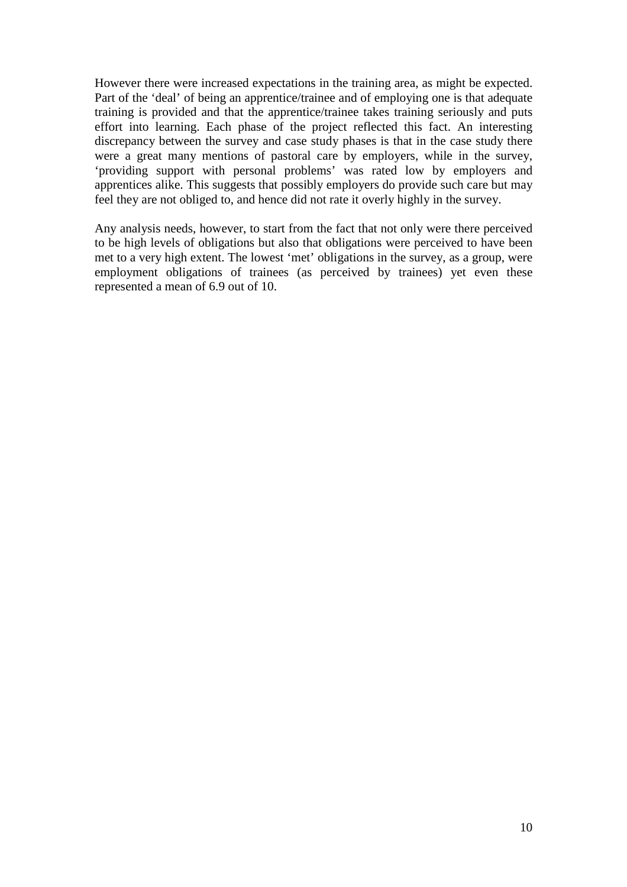However there were increased expectations in the training area, as might be expected. Part of the 'deal' of being an apprentice/trainee and of employing one is that adequate training is provided and that the apprentice/trainee takes training seriously and puts effort into learning. Each phase of the project reflected this fact. An interesting discrepancy between the survey and case study phases is that in the case study there were a great many mentions of pastoral care by employers, while in the survey, 'providing support with personal problems' was rated low by employers and apprentices alike. This suggests that possibly employers do provide such care but may feel they are not obliged to, and hence did not rate it overly highly in the survey.

Any analysis needs, however, to start from the fact that not only were there perceived to be high levels of obligations but also that obligations were perceived to have been met to a very high extent. The lowest 'met' obligations in the survey, as a group, were employment obligations of trainees (as perceived by trainees) yet even these represented a mean of 6.9 out of 10.